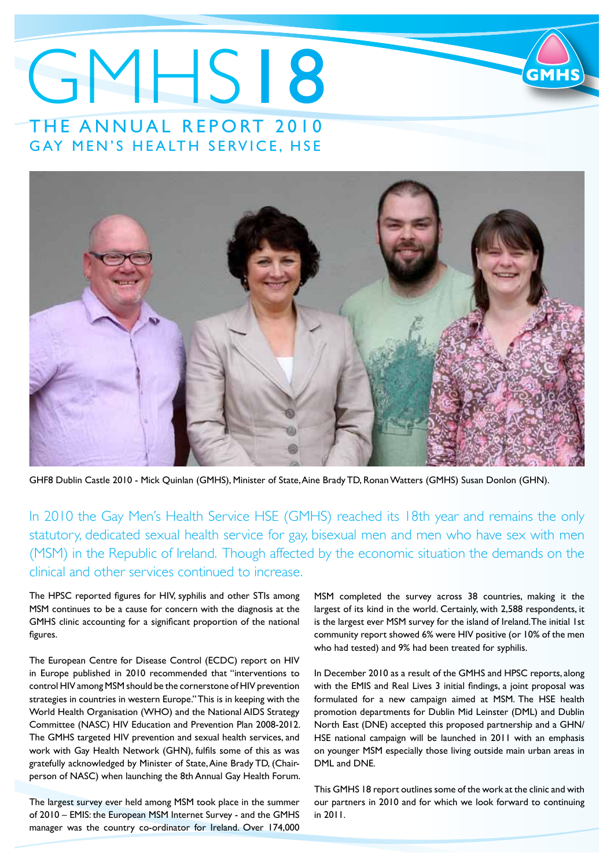# GMHS18 THE ANNUAL REPORT 2010 GAY MEN'S HEALTH SERVICE, HSE



GHF8 Dublin Castle 2010 - Mick Quinlan (GMHS), Minister of State, Aine Brady TD, Ronan Watters (GMHS) Susan Donlon (GHN).

In 2010 the Gay Men's Health Service HSE (GMHS) reached its 18th year and remains the only statutory, dedicated sexual health service for gay, bisexual men and men who have sex with men (MSM) in the Republic of Ireland. Though affected by the economic situation the demands on the clinical and other services continued to increase.

The HPSC reported figures for HIV, syphilis and other STIs among MSM continues to be a cause for concern with the diagnosis at the GMHS clinic accounting for a significant proportion of the national figures.

The European Centre for Disease Control (ECDC) report on HIV in Europe published in 2010 recommended that "interventions to control HIV among MSM should be the cornerstone of HIV prevention strategies in countries in western Europe." This is in keeping with the World Health Organisation (WHO) and the National AIDS Strategy Committee (NASC) HIV Education and Prevention Plan 2008-2012. The GMHS targeted HIV prevention and sexual health services, and work with Gay Health Network (GHN), fulfils some of this as was gratefully acknowledged by Minister of State, Aine Brady TD, (Chairperson of NASC) when launching the 8th Annual Gay Health Forum.

The largest survey ever held among MSM took place in the summer of 2010 – EMIS: the European MSM Internet Survey - and the GMHS manager was the country co-ordinator for Ireland. Over 174,000

MSM completed the survey across 38 countries, making it the largest of its kind in the world. Certainly, with 2,588 respondents, it is the largest ever MSM survey for the island of Ireland. The initial 1st community report showed 6% were HIV positive (or 10% of the men who had tested) and 9% had been treated for syphilis.

In December 2010 as a result of the GMHS and HPSC reports, along with the EMIS and Real Lives 3 initial findings, a joint proposal was formulated for a new campaign aimed at MSM. The HSE health promotion departments for Dublin Mid Leinster (DML) and Dublin North East (DNE) accepted this proposed partnership and a GHN/ HSE national campaign will be launched in 2011 with an emphasis on younger MSM especially those living outside main urban areas in DML and DNE.

This GMHS 18 report outlines some of the work at the clinic and with our partners in 2010 and for which we look forward to continuing in 2011.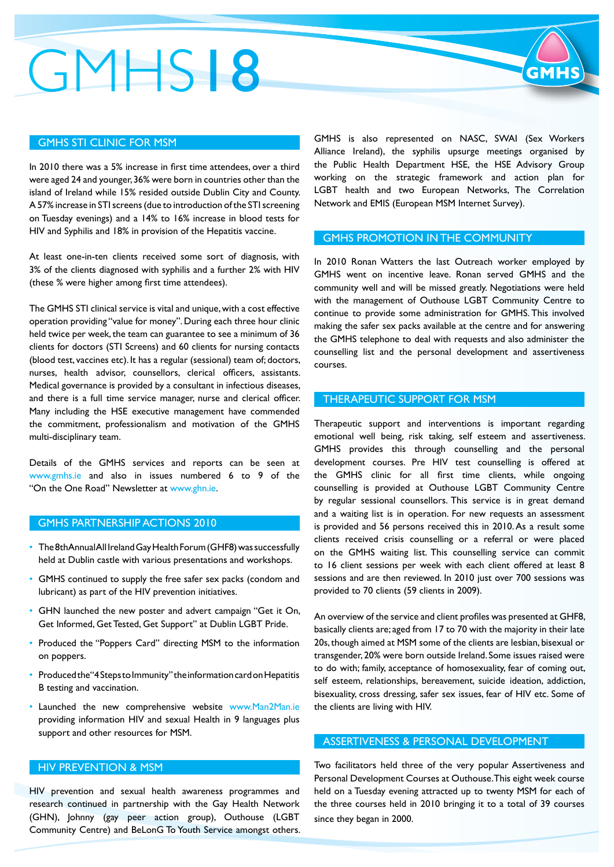# GMHS18

# GMHS STI CLINIC FOR MSM

In 2010 there was a 5% increase in first time attendees, over a third were aged 24 and younger, 36% were born in countries other than the island of Ireland while 15% resided outside Dublin City and County. A 57% increase in STI screens (due to introduction of the STI screening on Tuesday evenings) and a 14% to 16% increase in blood tests for HIV and Syphilis and 18% in provision of the Hepatitis vaccine.

At least one-in-ten clients received some sort of diagnosis, with 3% of the clients diagnosed with syphilis and a further 2% with HIV (these % were higher among first time attendees).

The GMHS STI clinical service is vital and unique, with a cost effective operation providing "value for money". During each three hour clinic held twice per week, the team can guarantee to see a minimum of 36 clients for doctors (STI Screens) and 60 clients for nursing contacts (blood test, vaccines etc). It has a regular (sessional) team of; doctors, nurses, health advisor, counsellors, clerical officers, assistants. Medical governance is provided by a consultant in infectious diseases, and there is a full time service manager, nurse and clerical officer. Many including the HSE executive management have commended the commitment, professionalism and motivation of the GMHS multi-disciplinary team.

Details of the GMHS services and reports can be seen at [www.gmhs.ie a](http://www.gmhs.ie)nd also in issues numbered 6 to 9 of the "On the One Road" Newsletter at [www.ghn.ie.](http://www.ghn.ie)

# GMHS PARTNERSHIP ACTIONS 2010

- The 8th Annual All Ireland Gay Health Forum (GHF8) was successfully held at Dublin castle with various presentations and workshops.
- GMHS continued to supply the free safer sex packs (condom and lubricant) as part of the HIV prevention initiatives.
- GHN launched the new poster and advert campaign "Get it On, Get Informed, Get Tested, Get Support" at Dublin LGBT Pride.
- Produced the "Poppers Card" directing MSM to the information on poppers.
- Produced the "4 Steps to Immunity" the information card on Hepatitis B testing and vaccination.
- Launched the new comprehensive website [www.Man2Man.ie](http://www.Man2Man.ie)  providing information HIV and sexual Health in 9 languages plus support and other resources for MSM.

# HIV PREVENTION & MSM

HIV prevention and sexual health awareness programmes and research continued in partnership with the Gay Health Network (GHN), Johnny (gay peer action group), Outhouse (LGBT Community Centre) and BeLonG To Youth Service amongst others.

GMHS is also represented on NASC, SWAI (Sex Workers Alliance Ireland), the syphilis upsurge meetings organised by the Public Health Department HSE, the HSE Advisory Group working on the strategic framework and action plan for LGBT health and two European Networks, The Correlation Network and EMIS (European MSM Internet Survey).

# GMHS PROMOTION IN THE COMMUNITY

In 2010 Ronan Watters the last Outreach worker employed by GMHS went on incentive leave. Ronan served GMHS and the community well and will be missed greatly. Negotiations were held with the management of Outhouse LGBT Community Centre to continue to provide some administration for GMHS. This involved making the safer sex packs available at the centre and for answering the GMHS telephone to deal with requests and also administer the counselling list and the personal development and assertiveness courses.

### THERAPEUTIC SUPPORT FOR MSM

Therapeutic support and interventions is important regarding emotional well being, risk taking, self esteem and assertiveness. GMHS provides this through counselling and the personal development courses. Pre HIV test counselling is offered at the GMHS clinic for all first time clients, while ongoing counselling is provided at Outhouse LGBT Community Centre by regular sessional counsellors. This service is in great demand and a waiting list is in operation. For new requests an assessment is provided and 56 persons received this in 2010. As a result some clients received crisis counselling or a referral or were placed on the GMHS waiting list. This counselling service can commit to 16 client sessions per week with each client offered at least 8 sessions and are then reviewed. In 2010 just over 700 sessions was provided to 70 clients (59 clients in 2009).

An overview of the service and client profiles was presented at GHF8, basically clients are; aged from 17 to 70 with the majority in their late 20s, though aimed at MSM some of the clients are lesbian, bisexual or transgender, 20% were born outside Ireland. Some issues raised were to do with; family, acceptance of homosexuality, fear of coming out, self esteem, relationships, bereavement, suicide ideation, addiction, bisexuality, cross dressing, safer sex issues, fear of HIV etc. Some of the clients are living with HIV.

# ASSERTIVENESS & PERSONAL DEVELOPMENT

Two facilitators held three of the very popular Assertiveness and Personal Development Courses at Outhouse. This eight week course held on a Tuesday evening attracted up to twenty MSM for each of the three courses held in 2010 bringing it to a total of 39 courses since they began in 2000.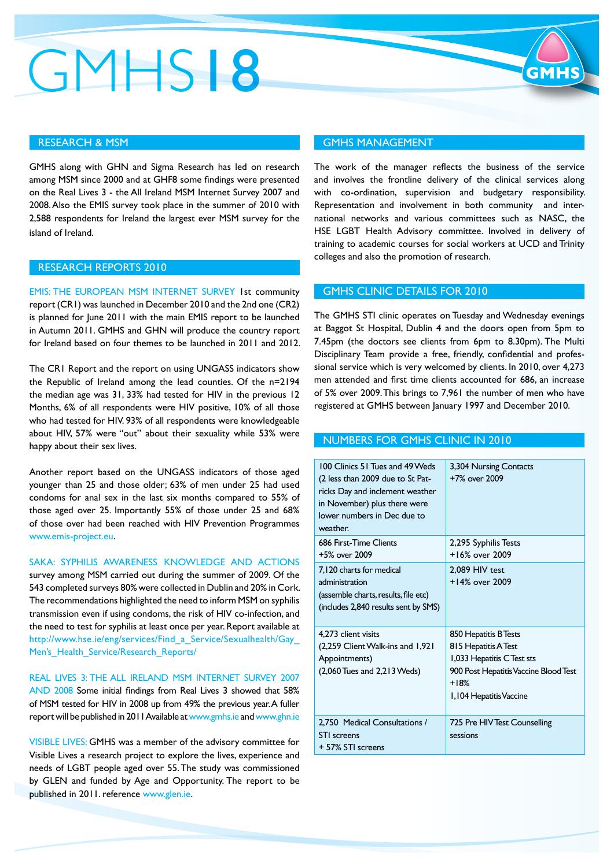# GMHS18

# GMHS MANAGEMENT

The work of the manager reflects the business of the service and involves the frontline delivery of the clinical services along with co-ordination, supervision and budgetary responsibility. Representation and involvement in both community and international networks and various committees such as NASC, the HSE LGBT Health Advisory committee. Involved in delivery of training to academic courses for social workers at UCD and Trinity colleges and also the promotion of research.

#### GMHS CLINIC DETAILS FOR 2010

The GMHS STI clinic operates on Tuesday and Wednesday evenings at Baggot St Hospital, Dublin 4 and the doors open from 5pm to 7.45pm (the doctors see clients from 6pm to 8.30pm). The Multi Disciplinary Team provide a free, friendly, confidential and professional service which is very welcomed by clients. In 2010, over 4,273 men attended and first time clients accounted for 686, an increase of 5% over 2009. This brings to 7,961 the number of men who have registered at GMHS between January 1997 and December 2010.

### NUMBERS FOR GMHS CLINIC IN 2010

| 100 Clinics 51 Tues and 49 Weds<br>(2 less than 2009 due to St Pat-<br>ricks Day and inclement weather<br>in November) plus there were<br>lower numbers in Dec due to<br>weather. | 3,304 Nursing Contacts<br>+7% over 2009                                                                                                                  |
|-----------------------------------------------------------------------------------------------------------------------------------------------------------------------------------|----------------------------------------------------------------------------------------------------------------------------------------------------------|
| 686 First-Time Clients<br>+5% over 2009                                                                                                                                           | 2,295 Syphilis Tests<br>$+16\%$ over 2009                                                                                                                |
| 7,120 charts for medical<br>administration<br>(assemble charts, results, file etc)<br>(includes 2,840 results sent by SMS)                                                        | 2.089 HIV test<br>+14% over 2009                                                                                                                         |
| 4,273 client visits<br>(2,259 Client Walk-ins and 1,921)<br>Appointments)<br>(2,060 Tues and 2,213 Weds)                                                                          | 850 Hepatitis B Tests<br>815 Hepatitis A Test<br>1,033 Hepatitis CTest sts<br>900 Post Hepatitis Vaccine Blood Test<br>$+18%$<br>1,104 Hepatitis Vaccine |
| 2,750 Medical Consultations /<br><b>STI</b> screens<br>+ 57% STI screens                                                                                                          | 725 Pre HIV Test Counselling<br>sessions                                                                                                                 |

# RESEARCH & MSM

GMHS along with GHN and Sigma Research has led on research among MSM since 2000 and at GHF8 some findings were presented on the Real Lives 3 - the All Ireland MSM Internet Survey 2007 and 2008. Also the EMIS survey took place in the summer of 2010 with 2,588 respondents for Ireland the largest ever MSM survey for the island of Ireland.

# RESEARCH REPORTS 2010

EMIS: THE EUROPEAN MSM INTERNET SURVEY 1st community report (CR1) was launched in December 2010 and the 2nd one (CR2) is planned for June 2011 with the main EMIS report to be launched in Autumn 2011. GMHS and GHN will produce the country report for Ireland based on four themes to be launched in 2011 and 2012.

The CR1 Report and the report on using UNGASS indicators show the Republic of Ireland among the lead counties. Of the n=2194 the median age was 31, 33% had tested for HIV in the previous 12 Months, 6% of all respondents were HIV positive, 10% of all those who had tested for HIV. 93% of all respondents were knowledgeable about HIV, 57% were "out" about their sexuality while 53% were happy about their sex lives.

Another report based on the UNGASS indicators of those aged younger than 25 and those older; 63% of men under 25 had used condoms for anal sex in the last six months compared to 55% of those aged over 25. Importantly 55% of those under 25 and 68% of those over had been reached with HIV Prevention Programmes [www.emis-project.eu.](http://www.emis-project.eu)

# SAKA: SYPHILIS AWARENESS KNOWLEDGE AND ACTIONS

survey among MSM carried out during the summer of 2009. Of the 543 completed surveys 80% were collected in Dublin and 20% in Cork. The recommendations highlighted the need to inform MSM on syphilis transmission even if using condoms, the risk of HIV co-infection, and the need to test for syphilis at least once per year. Report available at [http://www.hse.ie/eng/services/Find\\_a\\_Service/Sexualhealth/Gay\\_](http://www.hse.ie/eng/services/Find_a_Service/Sexualhealth/Gay_) Men's\_Health\_Service/Research\_Reports/

REAL LIVES 3: THE ALL IRELAND MSM INTERNET SURVEY 2007 AND 2008 Some initial findings from Real Lives 3 showed that 58% of MSM tested for HIV in 2008 up from 49% the previous year. A fuller report will be published in 2011 Available at [www.gmhs.ie an](http://www.gmhs.ie)d [www.ghn.ie](http://www.ghn.ie)

VISIBLE LIVES: GMHS was a member of the advisory committee for Visible Lives a research project to explore the lives, experience and needs of LGBT people aged over 55. The study was commissioned by GLEN and funded by Age and Opportunity. The report to be published in 2011. reference [www.glen.ie.](http://www.glen.ie)